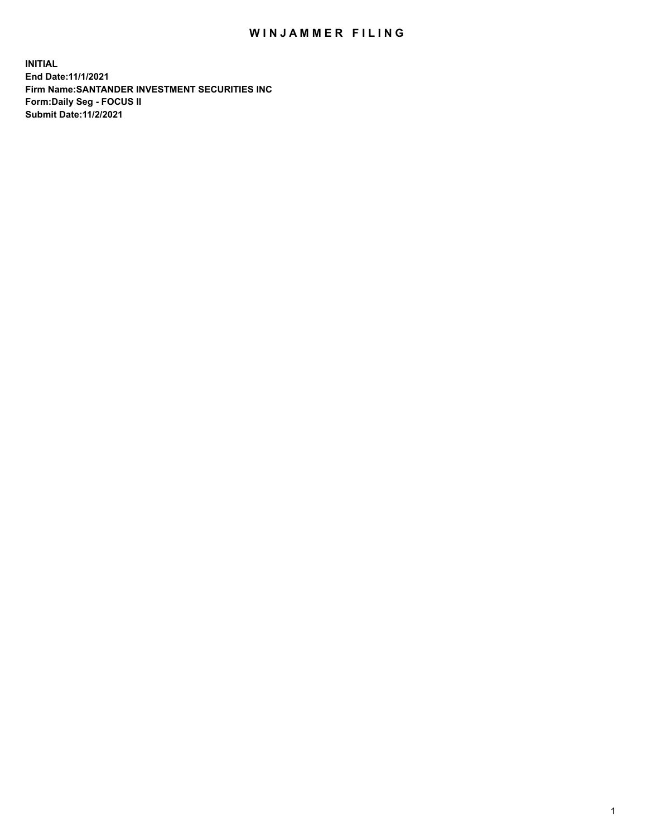## WIN JAMMER FILING

**INITIAL End Date:11/1/2021 Firm Name:SANTANDER INVESTMENT SECURITIES INC Form:Daily Seg - FOCUS II Submit Date:11/2/2021**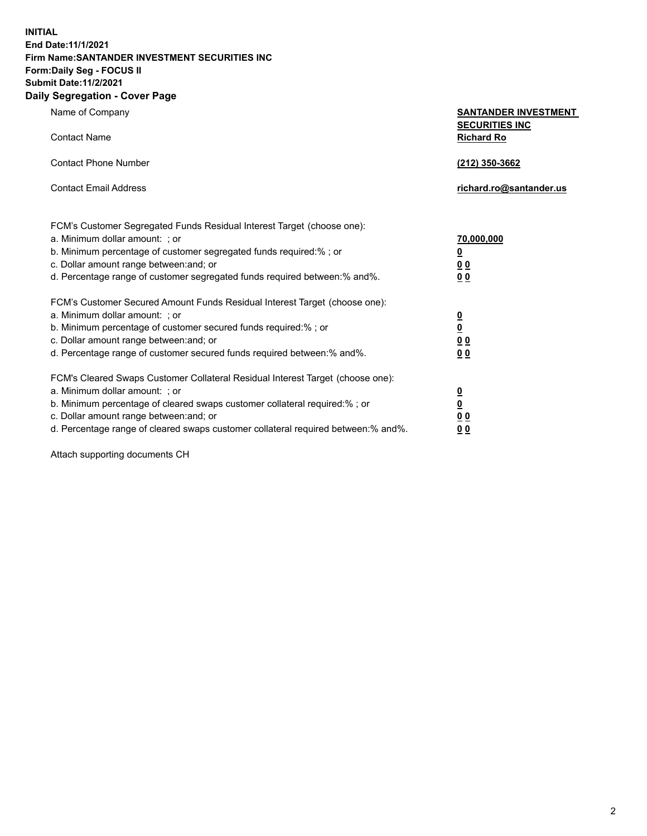**INITIAL End Date:11/1/2021 Firm Name:SANTANDER INVESTMENT SECURITIES INC Form:Daily Seg - FOCUS II Submit Date:11/2/2021 Daily Segregation - Cover Page**

| Name of Company<br><b>Contact Name</b>                                                                                                                                                                                                                                                                                        | <b>SANTANDER INVESTMENT</b><br><b>SECURITIES INC</b><br><b>Richard Ro</b> |
|-------------------------------------------------------------------------------------------------------------------------------------------------------------------------------------------------------------------------------------------------------------------------------------------------------------------------------|---------------------------------------------------------------------------|
| <b>Contact Phone Number</b>                                                                                                                                                                                                                                                                                                   | (212) 350-3662                                                            |
| <b>Contact Email Address</b>                                                                                                                                                                                                                                                                                                  | richard.ro@santander.us                                                   |
| FCM's Customer Segregated Funds Residual Interest Target (choose one):<br>a. Minimum dollar amount: ; or<br>b. Minimum percentage of customer segregated funds required:% ; or<br>c. Dollar amount range between: and; or<br>d. Percentage range of customer segregated funds required between:% and%.                        | 70,000,000<br><u>0</u><br>0 <sub>0</sub><br>0 <sub>0</sub>                |
| FCM's Customer Secured Amount Funds Residual Interest Target (choose one):<br>a. Minimum dollar amount: ; or<br>b. Minimum percentage of customer secured funds required:% ; or<br>c. Dollar amount range between: and; or<br>d. Percentage range of customer secured funds required between:% and%.                          | $\frac{\frac{0}{0}}{\frac{0}{0}}$<br>0 <sub>0</sub>                       |
| FCM's Cleared Swaps Customer Collateral Residual Interest Target (choose one):<br>a. Minimum dollar amount: : or<br>b. Minimum percentage of cleared swaps customer collateral required:%; or<br>c. Dollar amount range between: and; or<br>d. Percentage range of cleared swaps customer collateral required between:% and%. | $\frac{0}{0}$<br>0 <sub>0</sub><br>0 <sub>0</sub>                         |

Attach supporting documents CH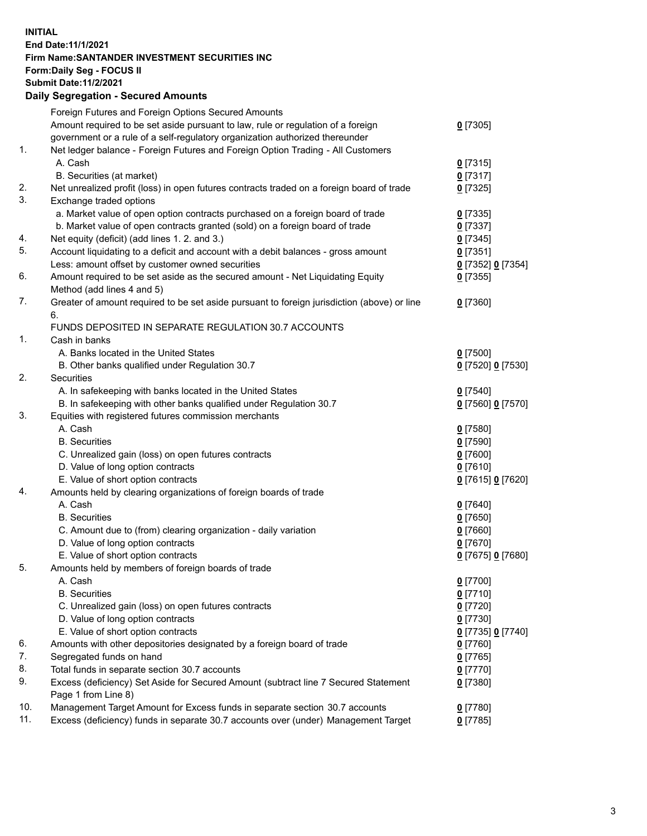## **INITIAL End Date:11/1/2021 Firm Name:SANTANDER INVESTMENT SECURITIES INC Form:Daily Seg - FOCUS II Submit Date:11/2/2021 Daily Segregation - Secured Amounts**

|     | Foreign Futures and Foreign Options Secured Amounts                                         |                   |
|-----|---------------------------------------------------------------------------------------------|-------------------|
|     | Amount required to be set aside pursuant to law, rule or regulation of a foreign            | $0$ [7305]        |
|     | government or a rule of a self-regulatory organization authorized thereunder                |                   |
| 1.  | Net ledger balance - Foreign Futures and Foreign Option Trading - All Customers             |                   |
|     | A. Cash                                                                                     | $0$ [7315]        |
|     | B. Securities (at market)                                                                   | $0$ [7317]        |
| 2.  | Net unrealized profit (loss) in open futures contracts traded on a foreign board of trade   | $0$ [7325]        |
| 3.  | Exchange traded options                                                                     |                   |
|     | a. Market value of open option contracts purchased on a foreign board of trade              | $0$ [7335]        |
|     | b. Market value of open contracts granted (sold) on a foreign board of trade                | $0$ [7337]        |
| 4.  | Net equity (deficit) (add lines 1. 2. and 3.)                                               | $0$ [7345]        |
| 5.  | Account liquidating to a deficit and account with a debit balances - gross amount           | $0$ [7351]        |
|     | Less: amount offset by customer owned securities                                            | 0 [7352] 0 [7354] |
| 6.  | Amount required to be set aside as the secured amount - Net Liquidating Equity              | $0$ [7355]        |
|     | Method (add lines 4 and 5)                                                                  |                   |
| 7.  | Greater of amount required to be set aside pursuant to foreign jurisdiction (above) or line | $0$ [7360]        |
|     | 6.                                                                                          |                   |
|     | FUNDS DEPOSITED IN SEPARATE REGULATION 30.7 ACCOUNTS                                        |                   |
| 1.  | Cash in banks                                                                               |                   |
|     | A. Banks located in the United States                                                       | $0$ [7500]        |
|     | B. Other banks qualified under Regulation 30.7                                              | 0 [7520] 0 [7530] |
| 2.  | Securities                                                                                  |                   |
|     | A. In safekeeping with banks located in the United States                                   | $0$ [7540]        |
|     | B. In safekeeping with other banks qualified under Regulation 30.7                          | 0 [7560] 0 [7570] |
| 3.  | Equities with registered futures commission merchants                                       |                   |
|     | A. Cash                                                                                     | $0$ [7580]        |
|     | <b>B.</b> Securities                                                                        | $0$ [7590]        |
|     | C. Unrealized gain (loss) on open futures contracts                                         | $0$ [7600]        |
|     | D. Value of long option contracts                                                           | $0$ [7610]        |
|     | E. Value of short option contracts                                                          | 0 [7615] 0 [7620] |
| 4.  | Amounts held by clearing organizations of foreign boards of trade                           |                   |
|     | A. Cash                                                                                     | $0$ [7640]        |
|     | <b>B.</b> Securities                                                                        | $0$ [7650]        |
|     | C. Amount due to (from) clearing organization - daily variation                             | $0$ [7660]        |
|     | D. Value of long option contracts                                                           | $0$ [7670]        |
|     | E. Value of short option contracts                                                          | 0 [7675] 0 [7680] |
| 5.  | Amounts held by members of foreign boards of trade                                          |                   |
|     | A. Cash                                                                                     | $0$ [7700]        |
|     | <b>B.</b> Securities                                                                        | $0$ [7710]        |
|     | C. Unrealized gain (loss) on open futures contracts                                         | $0$ [7720]        |
|     | D. Value of long option contracts                                                           | $0$ [7730]        |
|     | E. Value of short option contracts                                                          | 0 [7735] 0 [7740] |
| 6.  | Amounts with other depositories designated by a foreign board of trade                      | 0 [7760]          |
| 7.  | Segregated funds on hand                                                                    | $0$ [7765]        |
| 8.  | Total funds in separate section 30.7 accounts                                               | 0 [7770]          |
| 9.  | Excess (deficiency) Set Aside for Secured Amount (subtract line 7 Secured Statement         | $0$ [7380]        |
|     | Page 1 from Line 8)                                                                         |                   |
| 10. | Management Target Amount for Excess funds in separate section 30.7 accounts                 | $0$ [7780]        |
| 11. | Excess (deficiency) funds in separate 30.7 accounts over (under) Management Target          | $0$ [7785]        |
|     |                                                                                             |                   |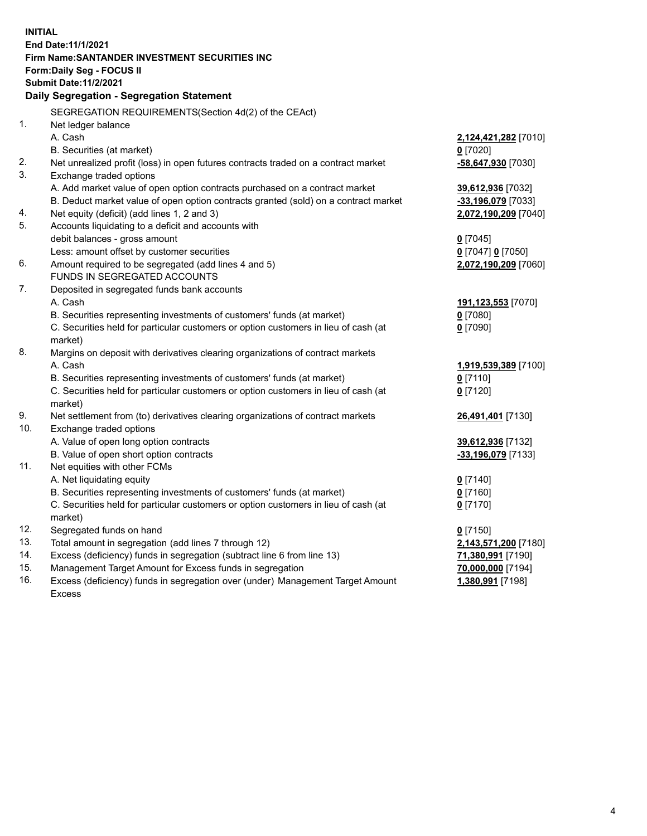| <b>INITIAL</b> |                                                                                                     |                          |  |  |  |  |
|----------------|-----------------------------------------------------------------------------------------------------|--------------------------|--|--|--|--|
|                | End Date: 11/1/2021                                                                                 |                          |  |  |  |  |
|                | Firm Name: SANTANDER INVESTMENT SECURITIES INC                                                      |                          |  |  |  |  |
|                | Form: Daily Seg - FOCUS II                                                                          |                          |  |  |  |  |
|                | <b>Submit Date: 11/2/2021</b>                                                                       |                          |  |  |  |  |
|                | Daily Segregation - Segregation Statement                                                           |                          |  |  |  |  |
|                | SEGREGATION REQUIREMENTS(Section 4d(2) of the CEAct)                                                |                          |  |  |  |  |
| 1.             | Net ledger balance                                                                                  |                          |  |  |  |  |
|                | A. Cash                                                                                             | 2,124,421,282 [7010]     |  |  |  |  |
|                | B. Securities (at market)                                                                           | $0$ [7020]               |  |  |  |  |
| 2.             | Net unrealized profit (loss) in open futures contracts traded on a contract market                  | -58,647,930 [7030]       |  |  |  |  |
| 3.             | Exchange traded options                                                                             |                          |  |  |  |  |
|                | A. Add market value of open option contracts purchased on a contract market                         | 39,612,936 [7032]        |  |  |  |  |
|                | B. Deduct market value of open option contracts granted (sold) on a contract market                 | -33,196,079 [7033]       |  |  |  |  |
| 4.             | Net equity (deficit) (add lines 1, 2 and 3)                                                         | 2,072,190,209 [7040]     |  |  |  |  |
| 5.             | Accounts liquidating to a deficit and accounts with                                                 |                          |  |  |  |  |
|                | debit balances - gross amount                                                                       | $0$ [7045]               |  |  |  |  |
|                | Less: amount offset by customer securities                                                          | 0 [7047] 0 [7050]        |  |  |  |  |
| 6.             | Amount required to be segregated (add lines 4 and 5)                                                | 2,072,190,209 [7060]     |  |  |  |  |
|                | FUNDS IN SEGREGATED ACCOUNTS                                                                        |                          |  |  |  |  |
| 7.             | Deposited in segregated funds bank accounts                                                         |                          |  |  |  |  |
|                | A. Cash                                                                                             | 191,123,553 [7070]       |  |  |  |  |
|                | B. Securities representing investments of customers' funds (at market)                              | $0$ [7080]               |  |  |  |  |
|                | C. Securities held for particular customers or option customers in lieu of cash (at                 | $0$ [7090]               |  |  |  |  |
|                | market)                                                                                             |                          |  |  |  |  |
| 8.             | Margins on deposit with derivatives clearing organizations of contract markets                      |                          |  |  |  |  |
|                | A. Cash                                                                                             | 1,919,539,389 [7100]     |  |  |  |  |
|                | B. Securities representing investments of customers' funds (at market)                              | $0$ [7110]               |  |  |  |  |
|                | C. Securities held for particular customers or option customers in lieu of cash (at                 | $0$ [7120]               |  |  |  |  |
|                | market)                                                                                             |                          |  |  |  |  |
| 9.             | Net settlement from (to) derivatives clearing organizations of contract markets                     | 26,491,401 [7130]        |  |  |  |  |
| 10.            | Exchange traded options                                                                             |                          |  |  |  |  |
|                | A. Value of open long option contracts                                                              | 39,612,936 [7132]        |  |  |  |  |
|                | B. Value of open short option contracts                                                             | -33,196,079 [7133]       |  |  |  |  |
| 11.            | Net equities with other FCMs                                                                        |                          |  |  |  |  |
|                | A. Net liquidating equity<br>B. Securities representing investments of customers' funds (at market) | $0$ [7140]<br>$0$ [7160] |  |  |  |  |
|                | C. Securities held for particular customers or option customers in lieu of cash (at                 | $0$ [7170]               |  |  |  |  |
|                | market)                                                                                             |                          |  |  |  |  |
| 12.            | Segregated funds on hand                                                                            | $0$ [7150]               |  |  |  |  |
| 13.            | Total amount in segregation (add lines 7 through 12)                                                | 2,143,571,200 [7180]     |  |  |  |  |
| 14.            | Excess (deficiency) funds in segregation (subtract line 6 from line 13)                             | 71,380,991 [7190]        |  |  |  |  |
| 15.            | Management Target Amount for Excess funds in segregation                                            | 70,000,000 [7194]        |  |  |  |  |
| 16.            | Excess (deficiency) funds in segregation over (under) Management Target Amount                      | 1,380,991 [7198]         |  |  |  |  |
|                | <b>Excess</b>                                                                                       |                          |  |  |  |  |